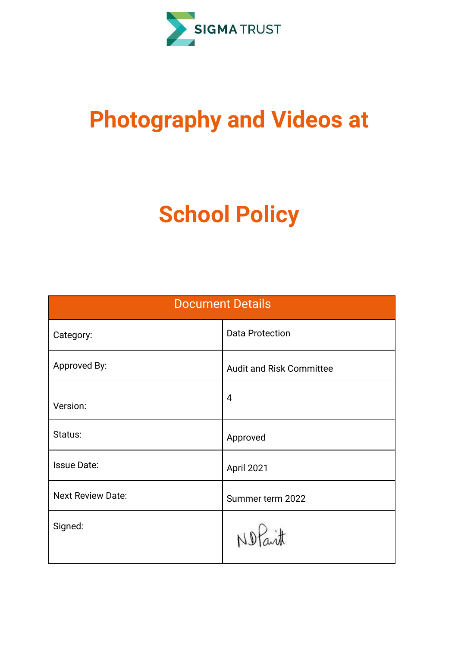

# **Photography and Videos at**

# **School Policy**

| <b>Document Details</b>  |                                 |  |
|--------------------------|---------------------------------|--|
| Category:                | <b>Data Protection</b>          |  |
| Approved By:             | <b>Audit and Risk Committee</b> |  |
| Version:                 | 4                               |  |
| Status:                  | Approved                        |  |
| <b>Issue Date:</b>       | April 2021                      |  |
| <b>Next Review Date:</b> | Summer term 2022                |  |
| Signed:                  | Notarit                         |  |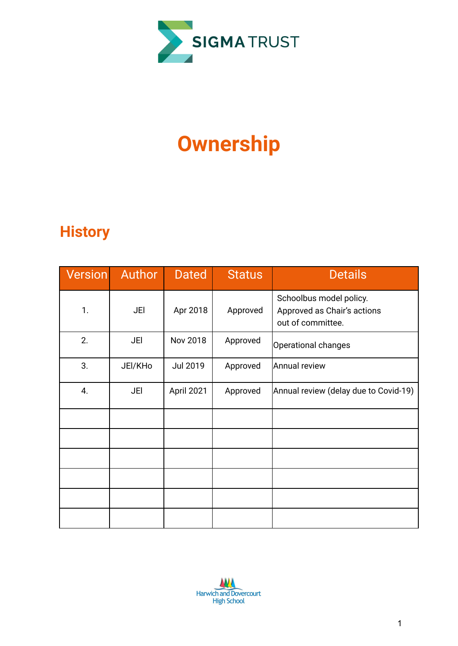

# **Ownership**

## **History**

| Version | Author  | <b>Dated</b>    | <b>Status</b> | <b>Details</b>                                                              |
|---------|---------|-----------------|---------------|-----------------------------------------------------------------------------|
| 1.      | JEI     | Apr 2018        | Approved      | Schoolbus model policy.<br>Approved as Chair's actions<br>out of committee. |
| 2.      | JEI     | <b>Nov 2018</b> | Approved      | Operational changes                                                         |
| 3.      | JEI/KHo | <b>Jul 2019</b> | Approved      | Annual review                                                               |
| 4.      | JEI     | April 2021      | Approved      | Annual review (delay due to Covid-19)                                       |
|         |         |                 |               |                                                                             |
|         |         |                 |               |                                                                             |
|         |         |                 |               |                                                                             |
|         |         |                 |               |                                                                             |
|         |         |                 |               |                                                                             |
|         |         |                 |               |                                                                             |

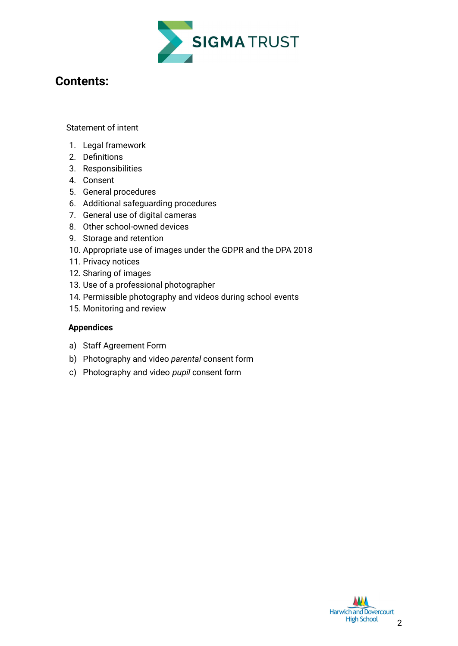

### **Contents:**

[Statement](#page-3-0) of intent

- 1. Legal [framework](#page-4-0)
- 2. [Definitions](#page-4-1)
- 3. [Responsibilities](#page-5-0)
- 4. [Consent](#page-6-0)
- 5. General [procedures](#page-8-0)
- 6. Additional [safeguarding](#page-9-0) procedures
- 7. General use of digital [cameras](#page-10-0)
- 8. Other [school-owned](#page-11-0) devices
- 9. Storage and [retention](#page-11-1)
- 10. [Appropriate](#page-12-0) use of images under the GDPR and the DPA 2018
- 11. Privacy [notices](#page-14-0)
- 12. [Sharing](#page-14-1) of images
- 13. Use of a professional [photographer](#page-14-2)
- 14. Permissible [photography](#page-15-0) and videos during school events
- 15. [Monitoring](#page-15-1) and review

#### **Appendices**

- a) Staff [Agreement](#page-16-0) Form
- b) [Photography](#page-16-1) and video *parental* consent form
- c) [Photography](#page-16-1) and video *pupil* consent form

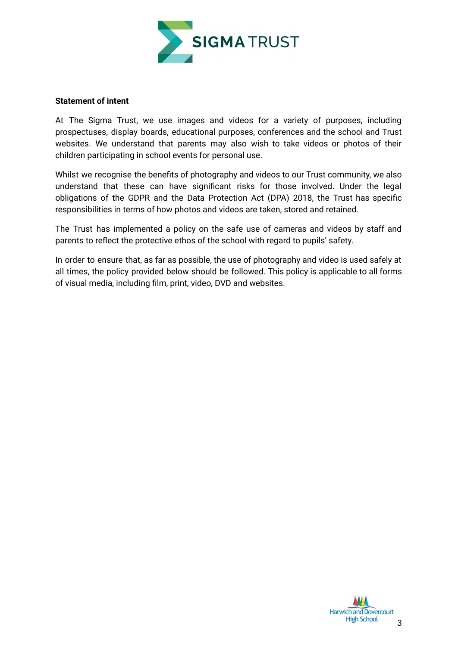

#### <span id="page-3-0"></span>**Statement of intent**

At The Sigma Trust, we use images and videos for a variety of purposes, including prospectuses, display boards, educational purposes, conferences and the school and Trust websites. We understand that parents may also wish to take videos or photos of their children participating in school events for personal use.

Whilst we recognise the benefits of photography and videos to our Trust community, we also understand that these can have significant risks for those involved. Under the legal obligations of the GDPR and the Data Protection Act (DPA) 2018, the Trust has specific responsibilities in terms of how photos and videos are taken, stored and retained.

The Trust has implemented a policy on the safe use of cameras and videos by staff and parents to reflect the protective ethos of the school with regard to pupils' safety.

In order to ensure that, as far as possible, the use of photography and video is used safely at all times, the policy provided below should be followed. This policy is applicable to all forms of visual media, including film, print, video, DVD and websites.

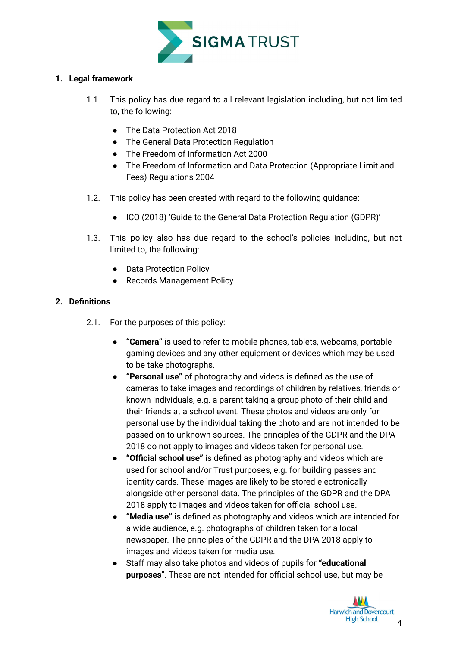

#### <span id="page-4-0"></span>**1. Legal framework**

- 1.1. This policy has due regard to all relevant legislation including, but not limited to, the following:
	- The Data Protection Act 2018
	- The General Data Protection Regulation
	- The Freedom of Information Act 2000
	- The Freedom of Information and Data Protection (Appropriate Limit and Fees) Regulations 2004
- 1.2. This policy has been created with regard to the following guidance:
	- ICO (2018) 'Guide to the General Data Protection Regulation (GDPR)'
- 1.3. This policy also has due regard to the school's policies including, but not limited to, the following:
	- Data Protection Policy
	- Records Management Policy

#### <span id="page-4-1"></span>**2. Definitions**

- 2.1. For the purposes of this policy:
	- **"Camera"** is used to refer to mobile phones, tablets, webcams, portable gaming devices and any other equipment or devices which may be used to be take photographs.
	- **"Personal use"** of photography and videos is defined as the use of cameras to take images and recordings of children by relatives, friends or known individuals, e.g. a parent taking a group photo of their child and their friends at a school event. These photos and videos are only for personal use by the individual taking the photo and are not intended to be passed on to unknown sources. The principles of the GDPR and the DPA 2018 do not apply to images and videos taken for personal use.
	- **"Official school use"** is defined as photography and videos which are used for school and/or Trust purposes, e.g. for building passes and identity cards. These images are likely to be stored electronically alongside other personal data. The principles of the GDPR and the DPA 2018 apply to images and videos taken for official school use.
	- **"Media use"** is defined as photography and videos which are intended for a wide audience, e.g. photographs of children taken for a local newspaper. The principles of the GDPR and the DPA 2018 apply to images and videos taken for media use.
	- Staff may also take photos and videos of pupils for **"educational purposes**". These are not intended for official school use, but may be

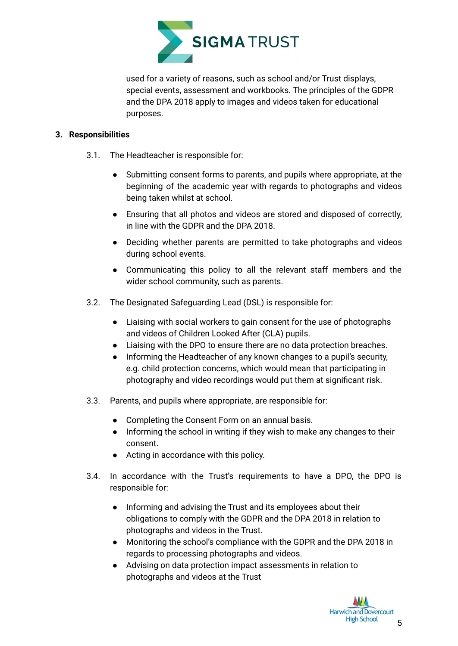

used for a variety of reasons, such as school and/or Trust displays, special events, assessment and workbooks. The principles of the GDPR and the DPA 2018 apply to images and videos taken for educational purposes.

#### <span id="page-5-0"></span>**3. Responsibilities**

- 3.1. The Headteacher is responsible for:
	- Submitting consent forms to parents, and pupils where appropriate, at the beginning of the academic year with regards to photographs and videos being taken whilst at school.
	- Ensuring that all photos and videos are stored and disposed of correctly, in line with the GDPR and the DPA 2018.
	- Deciding whether parents are permitted to take photographs and videos during school events.
	- Communicating this policy to all the relevant staff members and the wider school community, such as parents.
- 3.2. The Designated Safeguarding Lead (DSL) is responsible for:
	- Liaising with social workers to gain consent for the use of photographs and videos of Children Looked After (CLA) pupils.
	- Liaising with the DPO to ensure there are no data protection breaches.
	- Informing the Headteacher of any known changes to a pupil's security, e.g. child protection concerns, which would mean that participating in photography and video recordings would put them at significant risk.
- 3.3. Parents, and pupils where appropriate, are responsible for:
	- Completing the [Consent](#page-16-1) Form on an annual basis.
	- Informing the school in writing if they wish to make any changes to their consent.
	- Acting in accordance with this policy.
- 3.4. In accordance with the Trust's requirements to have a DPO, the DPO is responsible for:
	- Informing and advising the Trust and its employees about their obligations to comply with the GDPR and the DPA 2018 in relation to photographs and videos in the Trust.
	- Monitoring the school's compliance with the GDPR and the DPA 2018 in regards to processing photographs and videos.
	- Advising on data protection impact assessments in relation to photographs and videos at the Trust

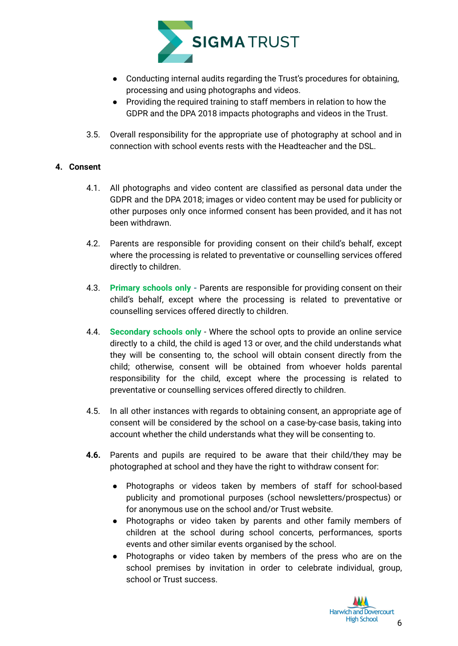

- Conducting internal audits regarding the Trust's procedures for obtaining, processing and using photographs and videos.
- Providing the required training to staff members in relation to how the GDPR and the DPA 2018 impacts photographs and videos in the Trust.
- 3.5. Overall responsibility for the appropriate use of photography at school and in connection with school events rests with the Headteacher and the DSL.

#### <span id="page-6-0"></span>**4. Consent**

- 4.1. All photographs and video content are classified as personal data under the GDPR and the DPA 2018; images or video content may be used for publicity or other purposes only once informed consent has been provided, and it has not been withdrawn.
- 4.2. Parents are responsible for providing consent on their child's behalf, except where the processing is related to preventative or counselling services offered directly to children.
- 4.3. **Primary schools only -** Parents are responsible for providing consent on their child's behalf, except where the processing is related to preventative or counselling services offered directly to children.
- 4.4. **Secondary schools only** Where the school opts to provide an online service directly to a child, the child is aged 13 or over, and the child understands what they will be consenting to, the school will obtain consent directly from the child; otherwise, consent will be obtained from whoever holds parental responsibility for the child, except where the processing is related to preventative or counselling services offered directly to children.
- 4.5. In all other instances with regards to obtaining consent, an appropriate age of consent will be considered by the school on a case-by-case basis, taking into account whether the child understands what they will be consenting to.
- **4.6.** Parents and pupils are required to be aware that their child/they may be photographed at school and they have the right to withdraw consent for:
	- Photographs or videos taken by members of staff for school-based publicity and promotional purposes (school newsletters/prospectus) or for anonymous use on the school and/or Trust website.
	- Photographs or video taken by parents and other family members of children at the school during school concerts, performances, sports events and other similar events organised by the school.
	- Photographs or video taken by members of the press who are on the school premises by invitation in order to celebrate individual, group, school or Trust success.

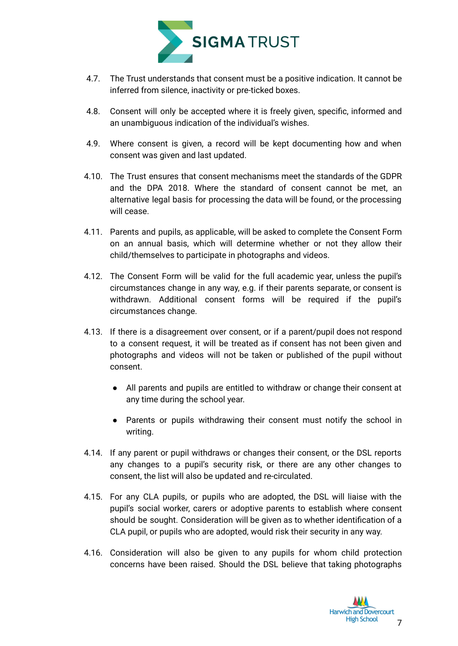

- 4.7. The Trust understands that consent must be a positive indication. It cannot be inferred from silence, inactivity or pre-ticked boxes.
- 4.8. Consent will only be accepted where it is freely given, specific, informed and an unambiguous indication of the individual's wishes.
- 4.9. Where consent is given, a record will be kept documenting how and when consent was given and last updated.
- 4.10. The Trust ensures that consent mechanisms meet the standards of the GDPR and the DPA 2018. Where the standard of consent cannot be met, an alternative legal basis for processing the data will be found, or the processing will cease.
- 4.11. Parents and pupils, as applicable, will be asked to complete the Consent Form on an annual basis, which will determine whether or not they allow their child/themselves to participate in photographs and videos.
- 4.12. The Consent Form will be valid for the full academic year, unless the pupil's circumstances change in any way, e.g. if their parents separate, or consent is withdrawn. Additional consent forms will be required if the pupil's circumstances change.
- 4.13. If there is a disagreement over consent, or if a parent/pupil does not respond to a consent request, it will be treated as if consent has not been given and photographs and videos will not be taken or published of the pupil without consent.
	- All parents and pupils are entitled to withdraw or change their consent at any time during the school year.
	- Parents or pupils withdrawing their consent must notify the school in writing.
- 4.14. If any parent or pupil withdraws or changes their consent, or the DSL reports any changes to a pupil's security risk, or there are any other changes to consent, the list will also be updated and re-circulated.
- 4.15. For any CLA pupils, or pupils who are adopted, the DSL will liaise with the pupil's social worker, carers or adoptive parents to establish where consent should be sought. Consideration will be given as to whether identification of a CLA pupil, or pupils who are adopted, would risk their security in any way.
- 4.16. Consideration will also be given to any pupils for whom child protection concerns have been raised. Should the DSL believe that taking photographs

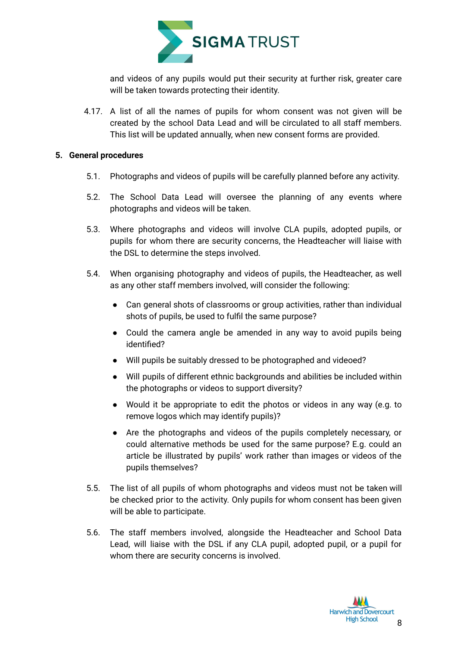

and videos of any pupils would put their security at further risk, greater care will be taken towards protecting their identity.

4.17. A list of all the names of pupils for whom consent was not given will be created by the school Data Lead and will be circulated to all staff members. This list will be updated annually, when new consent forms are provided.

#### <span id="page-8-0"></span>**5. General procedures**

- 5.1. Photographs and videos of pupils will be carefully planned before any activity.
- 5.2. The School Data Lead will oversee the planning of any events where photographs and videos will be taken.
- 5.3. Where photographs and videos will involve CLA pupils, adopted pupils, or pupils for whom there are security concerns, the Headteacher will liaise with the DSL to determine the steps involved.
- 5.4. When organising photography and videos of pupils, the Headteacher, as well as any other staff members involved, will consider the following:
	- Can general shots of classrooms or group activities, rather than individual shots of pupils, be used to fulfil the same purpose?
	- Could the camera angle be amended in any way to avoid pupils being identified?
	- Will pupils be suitably dressed to be photographed and videoed?
	- Will pupils of different ethnic backgrounds and abilities be included within the photographs or videos to support diversity?
	- Would it be appropriate to edit the photos or videos in any way (e.g. to remove logos which may identify pupils)?
	- Are the photographs and videos of the pupils completely necessary, or could alternative methods be used for the same purpose? E.g. could an article be illustrated by pupils' work rather than images or videos of the pupils themselves?
- 5.5. The list of all pupils of whom photographs and videos must not be taken will be checked prior to the activity. Only pupils for whom consent has been given will be able to participate.
- 5.6. The staff members involved, alongside the Headteacher and School Data Lead, will liaise with the DSL if any CLA pupil, adopted pupil, or a pupil for whom there are security concerns is involved.

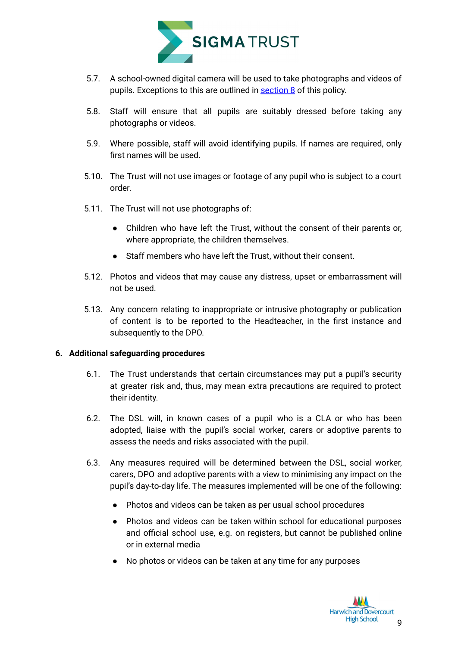

- 5.7. A school-owned digital camera will be used to take photographs and videos of pupils. Exceptions to this are outlined in [section](#page-11-0) 8 of this policy.
- 5.8. Staff will ensure that all pupils are suitably dressed before taking any photographs or videos.
- 5.9. Where possible, staff will avoid identifying pupils. If names are required, only first names will be used.
- 5.10. The Trust will not use images or footage of any pupil who is subject to a court order.
- 5.11. The Trust will not use photographs of:
	- Children who have left the Trust, without the consent of their parents or, where appropriate, the children themselves.
	- Staff members who have left the Trust, without their consent.
- 5.12. Photos and videos that may cause any distress, upset or embarrassment will not be used.
- 5.13. Any concern relating to inappropriate or intrusive photography or publication of content is to be reported to the Headteacher, in the first instance and subsequently to the DPO.

#### <span id="page-9-0"></span>**6. Additional safeguarding procedures**

- 6.1. The Trust understands that certain circumstances may put a pupil's security at greater risk and, thus, may mean extra precautions are required to protect their identity.
- 6.2. The DSL will, in known cases of a pupil who is a CLA or who has been adopted, liaise with the pupil's social worker, carers or adoptive parents to assess the needs and risks associated with the pupil.
- 6.3. Any measures required will be determined between the DSL, social worker, carers, DPO and adoptive parents with a view to minimising any impact on the pupil's day-to-day life. The measures implemented will be one of the following:
	- Photos and videos can be taken as per usual school procedures
	- Photos and videos can be taken within school for educational purposes and official school use, e.g. on registers, but cannot be published online or in external media
	- No photos or videos can be taken at any time for any purposes

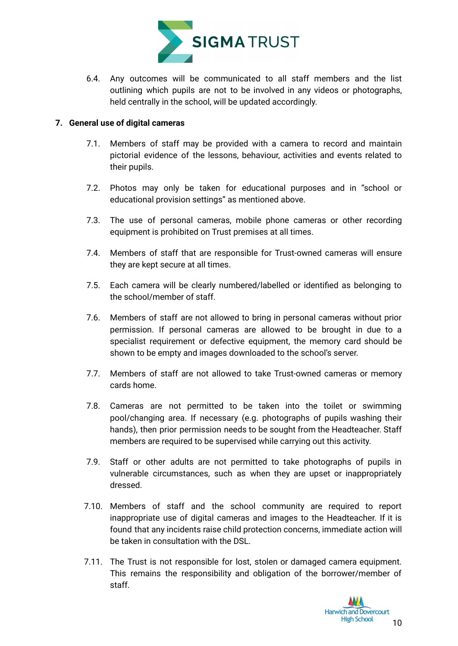

6.4. Any outcomes will be communicated to all staff members and the list outlining which pupils are not to be involved in any videos or photographs, held centrally in the school, will be updated accordingly.

#### <span id="page-10-0"></span>**7. General use of digital cameras**

- 7.1. Members of staff may be provided with a camera to record and maintain pictorial evidence of the lessons, behaviour, activities and events related to their pupils.
- 7.2. Photos may only be taken for educational purposes and in "school or educational provision settings" as mentioned above.
- 7.3. The use of personal cameras, mobile phone cameras or other recording equipment is prohibited on Trust premises at all times.
- 7.4. Members of staff that are responsible for Trust-owned cameras will ensure they are kept secure at all times.
- 7.5. Each camera will be clearly numbered/labelled or identified as belonging to the school/member of staff.
- 7.6. Members of staff are not allowed to bring in personal cameras without prior permission. If personal cameras are allowed to be brought in due to a specialist requirement or defective equipment, the memory card should be shown to be empty and images downloaded to the school's server.
- 7.7. Members of staff are not allowed to take Trust-owned cameras or memory cards home.
- 7.8. Cameras are not permitted to be taken into the toilet or swimming pool/changing area. If necessary (e.g. photographs of pupils washing their hands), then prior permission needs to be sought from the Headteacher. Staff members are required to be supervised while carrying out this activity.
- 7.9. Staff or other adults are not permitted to take photographs of pupils in vulnerable circumstances, such as when they are upset or inappropriately dressed.
- 7.10. Members of staff and the school community are required to report inappropriate use of digital cameras and images to the Headteacher. If it is found that any incidents raise child protection concerns, immediate action will be taken in consultation with the DSL.
- 7.11. The Trust is not responsible for lost, stolen or damaged camera equipment. This remains the responsibility and obligation of the borrower/member of staff.

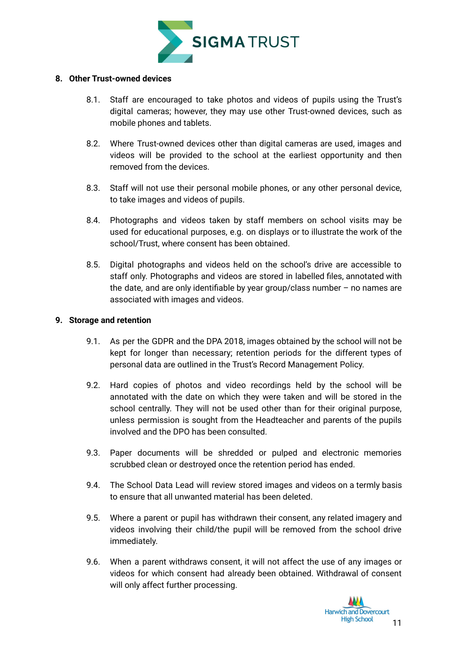

#### <span id="page-11-0"></span>**8. Other Trust-owned devices**

- 8.1. Staff are encouraged to take photos and videos of pupils using the Trust's digital cameras; however, they may use other Trust-owned devices, such as mobile phones and tablets.
- 8.2. Where Trust-owned devices other than digital cameras are used, images and videos will be provided to the school at the earliest opportunity and then removed from the devices.
- 8.3. Staff will not use their personal mobile phones, or any other personal device, to take images and videos of pupils.
- 8.4. Photographs and videos taken by staff members on school visits may be used for educational purposes, e.g. on displays or to illustrate the work of the school/Trust, where consent has been obtained.
- 8.5. Digital photographs and videos held on the school's drive are accessible to staff only. Photographs and videos are stored in labelled files, annotated with the date, and are only identifiable by year group/class number – no names are associated with images and videos.

#### <span id="page-11-1"></span>**9. Storage and retention**

- 9.1. As per the GDPR and the DPA 2018, images obtained by the school will not be kept for longer than necessary; retention periods for the different types of personal data are outlined in the Trust's Record Management Policy.
- 9.2. Hard copies of photos and video recordings held by the school will be annotated with the date on which they were taken and will be stored in the school centrally. They will not be used other than for their original purpose, unless permission is sought from the Headteacher and parents of the pupils involved and the DPO has been consulted.
- 9.3. Paper documents will be shredded or pulped and electronic memories scrubbed clean or destroyed once the retention period has ended.
- 9.4. The School Data Lead will review stored images and videos on a termly basis to ensure that all unwanted material has been deleted.
- 9.5. Where a parent or pupil has withdrawn their consent, any related imagery and videos involving their child/the pupil will be removed from the school drive immediately.
- 9.6. When a parent withdraws consent, it will not affect the use of any images or videos for which consent had already been obtained. Withdrawal of consent will only affect further processing.

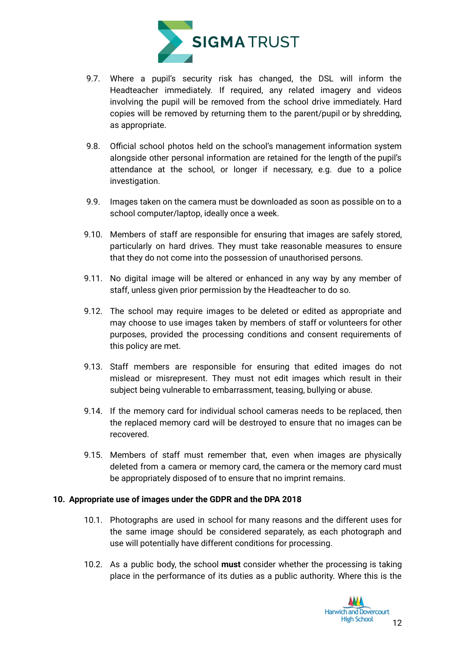

- 9.7. Where a pupil's security risk has changed, the DSL will inform the Headteacher immediately. If required, any related imagery and videos involving the pupil will be removed from the school drive immediately. Hard copies will be removed by returning them to the parent/pupil or by shredding, as appropriate.
- 9.8. Official school photos held on the school's management information system alongside other personal information are retained for the length of the pupil's attendance at the school, or longer if necessary, e.g. due to a police investigation.
- 9.9. Images taken on the camera must be downloaded as soon as possible on to a school computer/laptop, ideally once a week.
- 9.10. Members of staff are responsible for ensuring that images are safely stored, particularly on hard drives. They must take reasonable measures to ensure that they do not come into the possession of unauthorised persons.
- 9.11. No digital image will be altered or enhanced in any way by any member of staff, unless given prior permission by the Headteacher to do so.
- 9.12. The school may require images to be deleted or edited as appropriate and may choose to use images taken by members of staff or volunteers for other purposes, provided the processing conditions and consent requirements of this policy are met.
- 9.13. Staff members are responsible for ensuring that edited images do not mislead or misrepresent. They must not edit images which result in their subject being vulnerable to embarrassment, teasing, bullying or abuse.
- 9.14. If the memory card for individual school cameras needs to be replaced, then the replaced memory card will be destroyed to ensure that no images can be recovered.
- 9.15. Members of staff must remember that, even when images are physically deleted from a camera or memory card, the camera or the memory card must be appropriately disposed of to ensure that no imprint remains.

#### <span id="page-12-0"></span>**10. Appropriate use of images under the GDPR and the DPA 2018**

- 10.1. Photographs are used in school for many reasons and the different uses for the same image should be considered separately, as each photograph and use will potentially have different conditions for processing.
- 10.2. As a public body, the school **must** consider whether the processing is taking place in the performance of its duties as a public authority. Where this is the

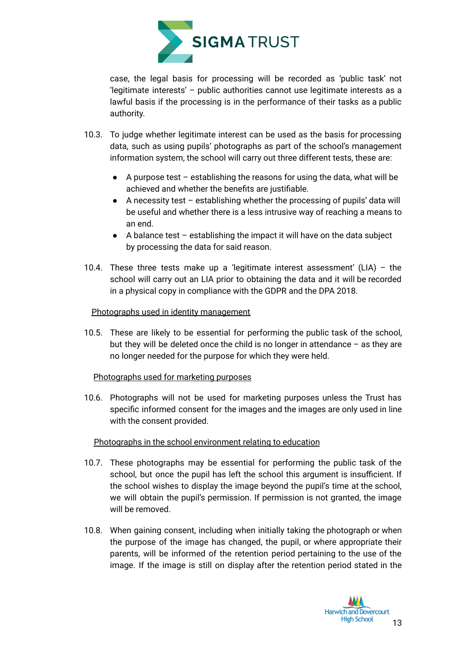

case, the legal basis for processing will be recorded as 'public task' not 'legitimate interests' – public authorities cannot use legitimate interests as a lawful basis if the processing is in the performance of their tasks as a public authority.

- 10.3. To judge whether legitimate interest can be used as the basis for processing data, such as using pupils' photographs as part of the school's management information system, the school will carry out three different tests, these are:
	- $\bullet$  A purpose test establishing the reasons for using the data, what will be achieved and whether the benefits are justifiable.
	- $\bullet$  A necessity test establishing whether the processing of pupils' data will be useful and whether there is a less intrusive way of reaching a means to an end.
	- $\bullet$  A balance test establishing the impact it will have on the data subject by processing the data for said reason.
- 10.4. These three tests make up a 'legitimate interest assessment'  $(LIA)$  the school will carry out an LIA prior to obtaining the data and it will be recorded in a physical copy in compliance with the GDPR and the DPA 2018.

#### Photographs used in identity management

10.5. These are likely to be essential for performing the public task of the school, but they will be deleted once the child is no longer in attendance – as they are no longer needed for the purpose for which they were held.

#### Photographs used for marketing purposes

10.6. Photographs will not be used for marketing purposes unless the Trust has specific informed consent for the images and the images are only used in line with the consent provided.

#### Photographs in the school environment relating to education

- 10.7. These photographs may be essential for performing the public task of the school, but once the pupil has left the school this argument is insufficient. If the school wishes to display the image beyond the pupil's time at the school, we will obtain the pupil's permission. If permission is not granted, the image will be removed.
- 10.8. When gaining consent, including when initially taking the photograph or when the purpose of the image has changed, the pupil, or where appropriate their parents, will be informed of the retention period pertaining to the use of the image. If the image is still on display after the retention period stated in the

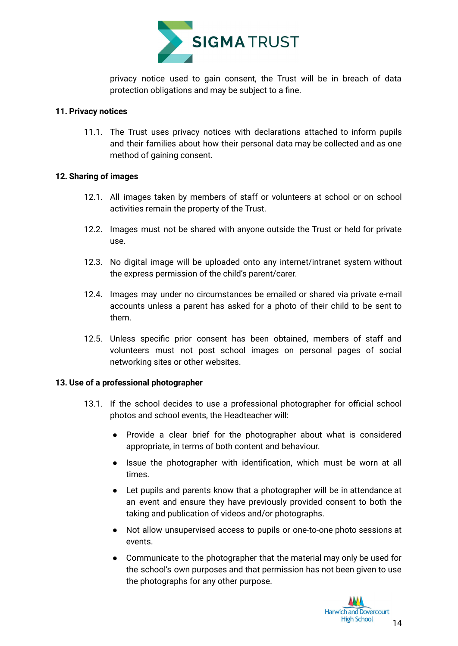

privacy notice used to gain consent, the Trust will be in breach of data protection obligations and may be subject to a fine.

#### <span id="page-14-0"></span>**11. Privacy notices**

11.1. The Trust uses privacy notices with declarations attached to inform pupils and their families about how their personal data may be collected and as one method of gaining consent.

#### <span id="page-14-1"></span>**12. Sharing of images**

- 12.1. All images taken by members of staff or volunteers at school or on school activities remain the property of the Trust.
- 12.2. Images must not be shared with anyone outside the Trust or held for private use.
- 12.3. No digital image will be uploaded onto any internet/intranet system without the express permission of the child's parent/carer.
- 12.4. Images may under no circumstances be emailed or shared via private e-mail accounts unless a parent has asked for a photo of their child to be sent to them.
- 12.5. Unless specific prior consent has been obtained, members of staff and volunteers must not post school images on personal pages of social networking sites or other websites.

#### <span id="page-14-2"></span>**13. Use of a professional photographer**

- 13.1. If the school decides to use a professional photographer for official school photos and school events, the Headteacher will:
	- Provide a clear brief for the photographer about what is considered appropriate, in terms of both content and behaviour.
	- Issue the photographer with identification, which must be worn at all times.
	- Let pupils and parents know that a photographer will be in attendance at an event and ensure they have previously provided consent to both the taking and publication of videos and/or photographs.
	- Not allow unsupervised access to pupils or one-to-one photo sessions at events.
	- Communicate to the photographer that the material may only be used for the school's own purposes and that permission has not been given to use the photographs for any other purpose.

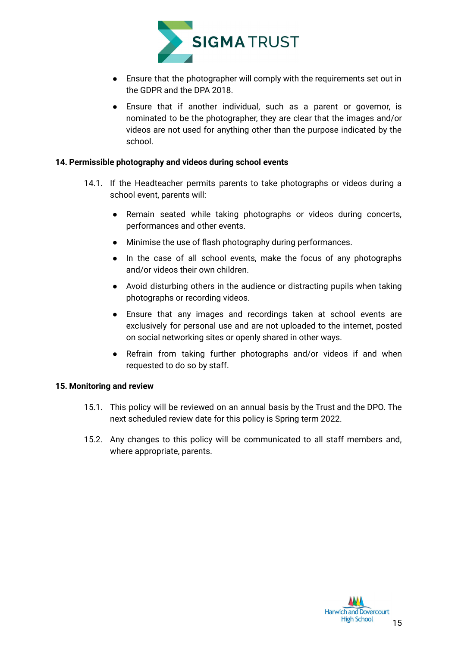

- Ensure that the photographer will comply with the requirements set out in the GDPR and the DPA 2018.
- Ensure that if another individual, such as a parent or governor, is nominated to be the photographer, they are clear that the images and/or videos are not used for anything other than the purpose indicated by the school.

#### <span id="page-15-0"></span>**14. Permissible photography and videos during school events**

- 14.1. If the Headteacher permits parents to take photographs or videos during a school event, parents will:
	- Remain seated while taking photographs or videos during concerts, performances and other events.
	- Minimise the use of flash photography during performances.
	- In the case of all school events, make the focus of any photographs and/or videos their own children.
	- Avoid disturbing others in the audience or distracting pupils when taking photographs or recording videos.
	- Ensure that any images and recordings taken at school events are exclusively for personal use and are not uploaded to the internet, posted on social networking sites or openly shared in other ways.
	- Refrain from taking further photographs and/or videos if and when requested to do so by staff.

#### <span id="page-15-1"></span>**15. Monitoring and review**

- 15.1. This policy will be reviewed on an annual basis by the Trust and the DPO. The next scheduled review date for this policy is Spring term 2022.
- 15.2. Any changes to this policy will be communicated to all staff members and, where appropriate, parents.

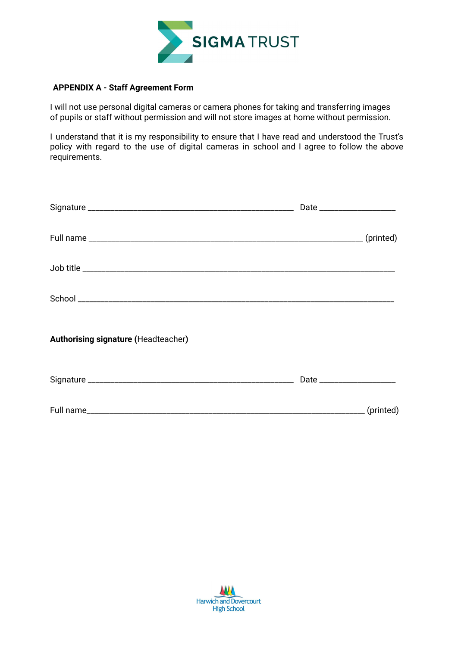

#### <span id="page-16-0"></span>**APPENDIX A - Staff Agreement Form**

I will not use personal digital cameras or camera phones for taking and transferring images of pupils or staff without permission and will not store images at home without permission.

I understand that it is my responsibility to ensure that I have read and understood the Trust's policy with regard to the use of digital cameras in school and I agree to follow the above requirements.

<span id="page-16-1"></span>

| <b>Authorising signature (Headteacher)</b> |                               |
|--------------------------------------------|-------------------------------|
|                                            | Date ________________________ |
|                                            |                               |

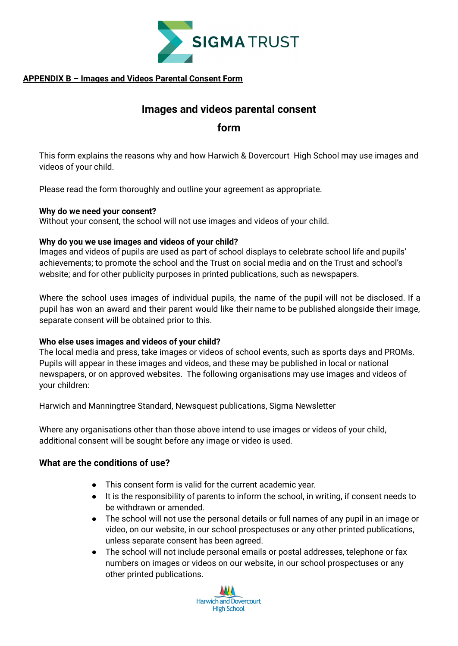

#### **APPENDIX B – Images and Videos Parental Consent Form**

### **Images and videos parental consent**

**form**

This form explains the reasons why and how Harwich & Dovercourt High School may use images and videos of your child.

Please read the form thoroughly and outline your agreement as appropriate.

#### **Why do we need your consent?**

Without your consent, the school will not use images and videos of your child.

#### **Why do you we use images and videos of your child?**

Images and videos of pupils are used as part of school displays to celebrate school life and pupils' achievements; to promote the school and the Trust on social media and on the Trust and school's website; and for other publicity purposes in printed publications, such as newspapers.

Where the school uses images of individual pupils, the name of the pupil will not be disclosed. If a pupil has won an award and their parent would like their name to be published alongside their image, separate consent will be obtained prior to this.

#### **Who else uses images and videos of your child?**

The local media and press, take images or videos of school events, such as sports days and PROMs. Pupils will appear in these images and videos, and these may be published in local or national newspapers, or on approved websites. The following organisations may use images and videos of your children:

Harwich and Manningtree Standard, Newsquest publications, Sigma Newsletter

Where any organisations other than those above intend to use images or videos of your child, additional consent will be sought before any image or video is used.

#### **What are the conditions of use?**

- This consent form is valid for the current academic year.
- It is the responsibility of parents to inform the school, in writing, if consent needs to be withdrawn or amended.
- The school will not use the personal details or full names of any pupil in an image or video, on our website, in our school prospectuses or any other printed publications, unless separate consent has been agreed.
- The school will not include personal emails or postal addresses, telephone or fax numbers on images or videos on our website, in our school prospectuses or any other printed publications.

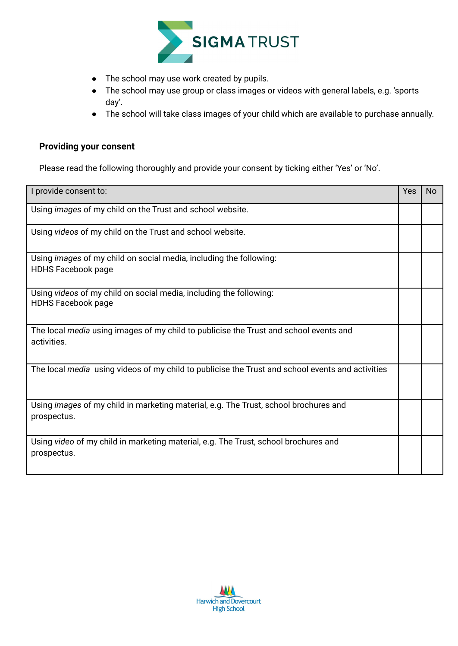

- The school may use work created by pupils.
- The school may use group or class images or videos with general labels, e.g. 'sports day'.
- The school will take class images of your child which are available to purchase annually.

#### **Providing your consent**

Please read the following thoroughly and provide your consent by ticking either 'Yes' or 'No'.

| I provide consent to:                                                                                      | Yes | <b>No</b> |
|------------------------------------------------------------------------------------------------------------|-----|-----------|
| Using images of my child on the Trust and school website.                                                  |     |           |
| Using videos of my child on the Trust and school website.                                                  |     |           |
| Using <i>images</i> of my child on social media, including the following:<br><b>HDHS Facebook page</b>     |     |           |
| Using videos of my child on social media, including the following:<br><b>HDHS Facebook page</b>            |     |           |
| The local media using images of my child to publicise the Trust and school events and<br>activities.       |     |           |
| The local media using videos of my child to publicise the Trust and school events and activities           |     |           |
| Using <i>images</i> of my child in marketing material, e.g. The Trust, school brochures and<br>prospectus. |     |           |
| Using video of my child in marketing material, e.g. The Trust, school brochures and<br>prospectus.         |     |           |

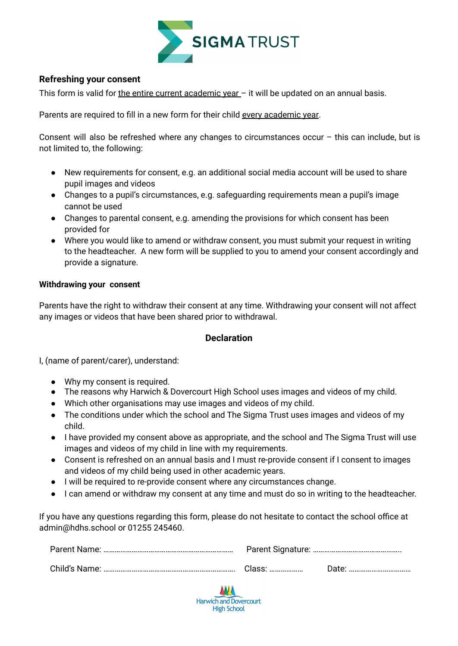

#### **Refreshing your consent**

This form is valid for the entire current academic year - it will be updated on an annual basis.

Parents are required to fill in a new form for their child every academic year.

Consent will also be refreshed where any changes to circumstances occur – this can include, but is not limited to, the following:

- New requirements for consent, e.g. an additional social media account will be used to share pupil images and videos
- Changes to a pupil's circumstances, e.g. safeguarding requirements mean a pupil's image cannot be used
- Changes to parental consent, e.g. amending the provisions for which consent has been provided for
- Where you would like to amend or withdraw consent, you must submit your request in writing to the headteacher. A new form will be supplied to you to amend your consent accordingly and provide a signature.

#### **Withdrawing your consent**

Parents have the right to withdraw their consent at any time. Withdrawing your consent will not affect any images or videos that have been shared prior to withdrawal.

#### **Declaration**

I, (name of parent/carer), understand:

- Why my consent is required.
- The reasons why Harwich & Dovercourt High School uses images and videos of my child.
- Which other organisations may use images and videos of my child.
- The conditions under which the school and The Sigma Trust uses images and videos of my child.
- I have provided my consent above as appropriate, and the school and The Sigma Trust will use images and videos of my child in line with my requirements.
- Consent is refreshed on an annual basis and I must re-provide consent if I consent to images and videos of my child being used in other academic years.
- I will be required to re-provide consent where any circumstances change.
- I can amend or withdraw my consent at any time and must do so in writing to the headteacher.

If you have any questions regarding this form, please do not hesitate to contact the school office at admin@hdhs.school or 01255 245460.

| Class: | Date: |
|--------|-------|

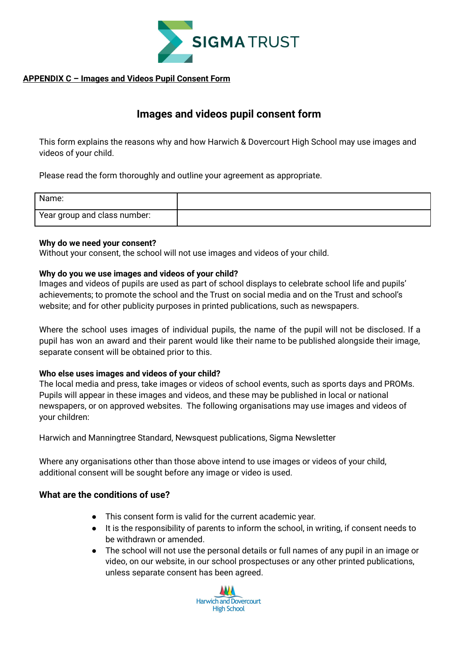

#### **APPENDIX C – Images and Videos Pupil Consent Form**

### **Images and videos pupil consent form**

This form explains the reasons why and how Harwich & Dovercourt High School may use images and videos of your child.

Please read the form thoroughly and outline your agreement as appropriate.

| Name:                        |  |
|------------------------------|--|
| Year group and class number: |  |

#### **Why do we need your consent?**

Without your consent, the school will not use images and videos of your child.

#### **Why do you we use images and videos of your child?**

Images and videos of pupils are used as part of school displays to celebrate school life and pupils' achievements; to promote the school and the Trust on social media and on the Trust and school's website; and for other publicity purposes in printed publications, such as newspapers.

Where the school uses images of individual pupils, the name of the pupil will not be disclosed. If a pupil has won an award and their parent would like their name to be published alongside their image, separate consent will be obtained prior to this.

#### **Who else uses images and videos of your child?**

The local media and press, take images or videos of school events, such as sports days and PROMs. Pupils will appear in these images and videos, and these may be published in local or national newspapers, or on approved websites. The following organisations may use images and videos of your children:

Harwich and Manningtree Standard, Newsquest publications, Sigma Newsletter

Where any organisations other than those above intend to use images or videos of your child, additional consent will be sought before any image or video is used.

#### **What are the conditions of use?**

- This consent form is valid for the current academic year.
- It is the responsibility of parents to inform the school, in writing, if consent needs to be withdrawn or amended.
- The school will not use the personal details or full names of any pupil in an image or video, on our website, in our school prospectuses or any other printed publications, unless separate consent has been agreed.

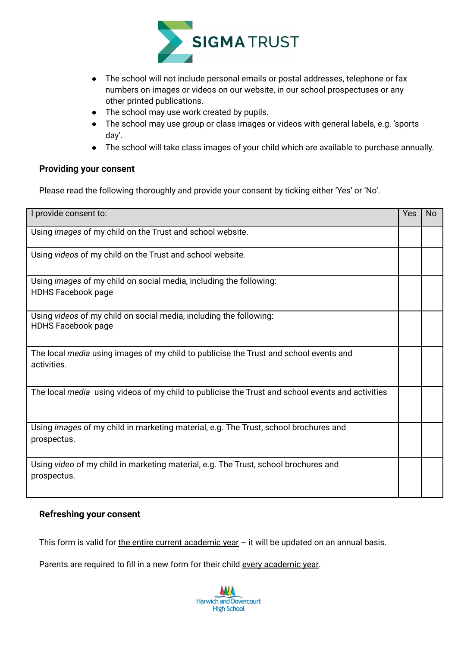

- The school will not include personal emails or postal addresses, telephone or fax numbers on images or videos on our website, in our school prospectuses or any other printed publications.
- The school may use work created by pupils.
- The school may use group or class images or videos with general labels, e.g. 'sports day'.
- The school will take class images of your child which are available to purchase annually.

#### **Providing your consent**

Please read the following thoroughly and provide your consent by ticking either 'Yes' or 'No'.

| I provide consent to:                                                                                | Yes | No |
|------------------------------------------------------------------------------------------------------|-----|----|
| Using images of my child on the Trust and school website.                                            |     |    |
| Using videos of my child on the Trust and school website.                                            |     |    |
| Using images of my child on social media, including the following:<br><b>HDHS Facebook page</b>      |     |    |
| Using videos of my child on social media, including the following:<br><b>HDHS Facebook page</b>      |     |    |
| The local media using images of my child to publicise the Trust and school events and<br>activities. |     |    |
| The local media using videos of my child to publicise the Trust and school events and activities     |     |    |
| Using images of my child in marketing material, e.g. The Trust, school brochures and<br>prospectus.  |     |    |
| Using video of my child in marketing material, e.g. The Trust, school brochures and<br>prospectus.   |     |    |

#### **Refreshing your consent**

This form is valid for the entire current academic year  $-$  it will be updated on an annual basis.

Parents are required to fill in a new form for their child every academic year.